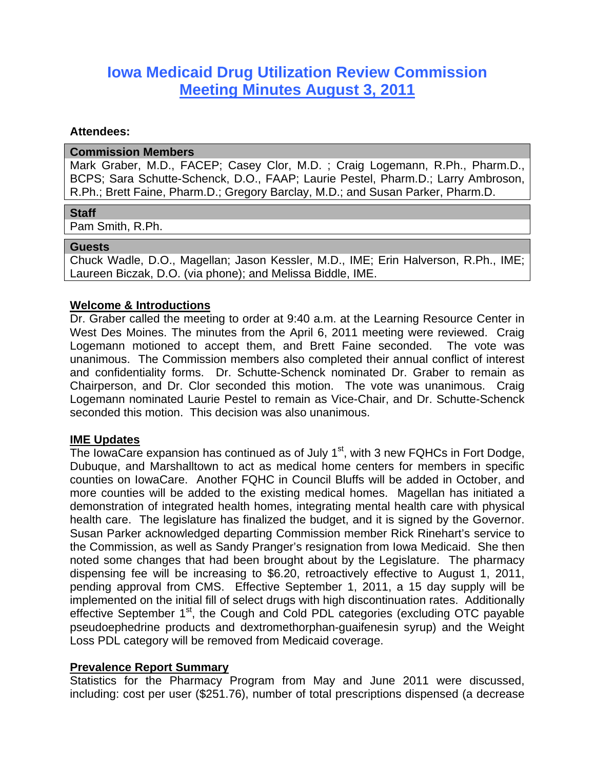# **Iowa Medicaid Drug Utilization Review Commission Meeting Minutes August 3, 2011**

### **Attendees:**

#### **Commission Members**

Mark Graber, M.D., FACEP; Casey Clor, M.D. ; Craig Logemann, R.Ph., Pharm.D., BCPS; Sara Schutte-Schenck, D.O., FAAP; Laurie Pestel, Pharm.D.; Larry Ambroson, R.Ph.; Brett Faine, Pharm.D.; Gregory Barclay, M.D.; and Susan Parker, Pharm.D.

### **Staff**

Pam Smith, R.Ph.

### **Guests**

Chuck Wadle, D.O., Magellan; Jason Kessler, M.D., IME; Erin Halverson, R.Ph., IME; Laureen Biczak, D.O. (via phone); and Melissa Biddle, IME.

# **Welcome & Introductions**

Dr. Graber called the meeting to order at 9:40 a.m. at the Learning Resource Center in West Des Moines. The minutes from the April 6, 2011 meeting were reviewed. Craig Logemann motioned to accept them, and Brett Faine seconded. The vote was unanimous. The Commission members also completed their annual conflict of interest and confidentiality forms. Dr. Schutte-Schenck nominated Dr. Graber to remain as Chairperson, and Dr. Clor seconded this motion. The vote was unanimous. Craig Logemann nominated Laurie Pestel to remain as Vice-Chair, and Dr. Schutte-Schenck seconded this motion. This decision was also unanimous.

# **IME Updates**

The IowaCare expansion has continued as of July  $1<sup>st</sup>$ , with 3 new FQHCs in Fort Dodge, Dubuque, and Marshalltown to act as medical home centers for members in specific counties on IowaCare. Another FQHC in Council Bluffs will be added in October, and more counties will be added to the existing medical homes. Magellan has initiated a demonstration of integrated health homes, integrating mental health care with physical health care. The legislature has finalized the budget, and it is signed by the Governor. Susan Parker acknowledged departing Commission member Rick Rinehart's service to the Commission, as well as Sandy Pranger's resignation from Iowa Medicaid. She then noted some changes that had been brought about by the Legislature. The pharmacy dispensing fee will be increasing to \$6.20, retroactively effective to August 1, 2011, pending approval from CMS. Effective September 1, 2011, a 15 day supply will be implemented on the initial fill of select drugs with high discontinuation rates. Additionally effective September 1<sup>st</sup>, the Cough and Cold PDL categories (excluding OTC payable pseudoephedrine products and dextromethorphan-guaifenesin syrup) and the Weight Loss PDL category will be removed from Medicaid coverage.

# **Prevalence Report Summary**

Statistics for the Pharmacy Program from May and June 2011 were discussed, including: cost per user (\$251.76), number of total prescriptions dispensed (a decrease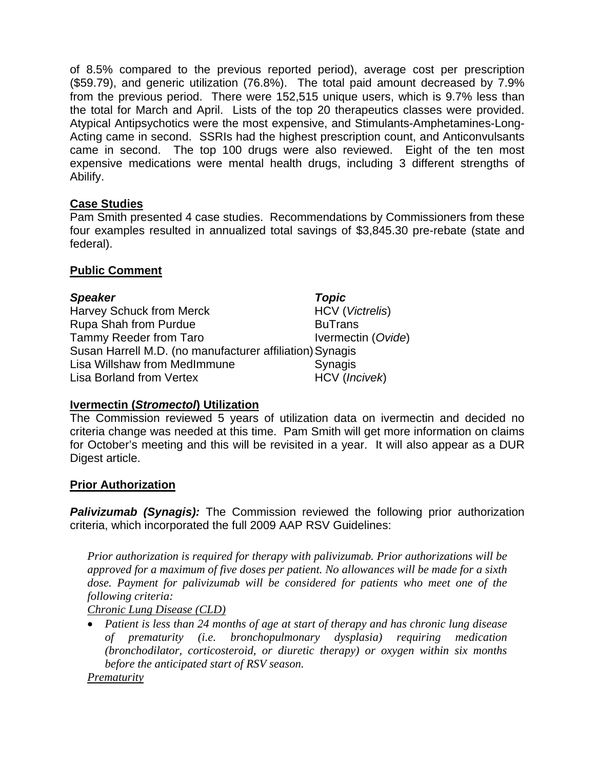of 8.5% compared to the previous reported period), average cost per prescription (\$59.79), and generic utilization (76.8%). The total paid amount decreased by 7.9% from the previous period. There were 152,515 unique users, which is 9.7% less than the total for March and April. Lists of the top 20 therapeutics classes were provided. Atypical Antipsychotics were the most expensive, and Stimulants-Amphetamines-Long-Acting came in second. SSRIs had the highest prescription count, and Anticonvulsants came in second. The top 100 drugs were also reviewed. Eight of the ten most expensive medications were mental health drugs, including 3 different strengths of Abilify.

# **Case Studies**

Pam Smith presented 4 case studies. Recommendations by Commissioners from these four examples resulted in annualized total savings of \$3,845.30 pre-rebate (state and federal).

# **Public Comment**

*Speaker**Topic* Harvey Schuck from Merck HCV (*Victrelis*) Rupa Shah from Purdue **BuTrans** BuTrans Tammy Reeder from Taro **IVermectin** (*Ovide*) Susan Harrell M.D. (no manufacturer affiliation) Synagis Lisa Willshaw from MedImmune **Synagis** Lisa Borland from Vertex HCV (*Incivek*)

# **Ivermectin (***Stromectol***) Utilization**

The Commission reviewed 5 years of utilization data on ivermectin and decided no criteria change was needed at this time. Pam Smith will get more information on claims for October's meeting and this will be revisited in a year. It will also appear as a DUR Digest article.

# **Prior Authorization**

**Palivizumab (Synagis):** The Commission reviewed the following prior authorization criteria, which incorporated the full 2009 AAP RSV Guidelines:

*Prior authorization is required for therapy with palivizumab. Prior authorizations will be approved for a maximum of five doses per patient. No allowances will be made for a sixth*  dose. Payment for palivizumab will be considered for patients who meet one of the *following criteria:* 

*Chronic Lung Disease (CLD)*

 *Patient is less than 24 months of age at start of therapy and has chronic lung disease of prematurity (i.e. bronchopulmonary dysplasia) requiring medication (bronchodilator, corticosteroid, or diuretic therapy) or oxygen within six months before the anticipated start of RSV season.* 

*Prematurity*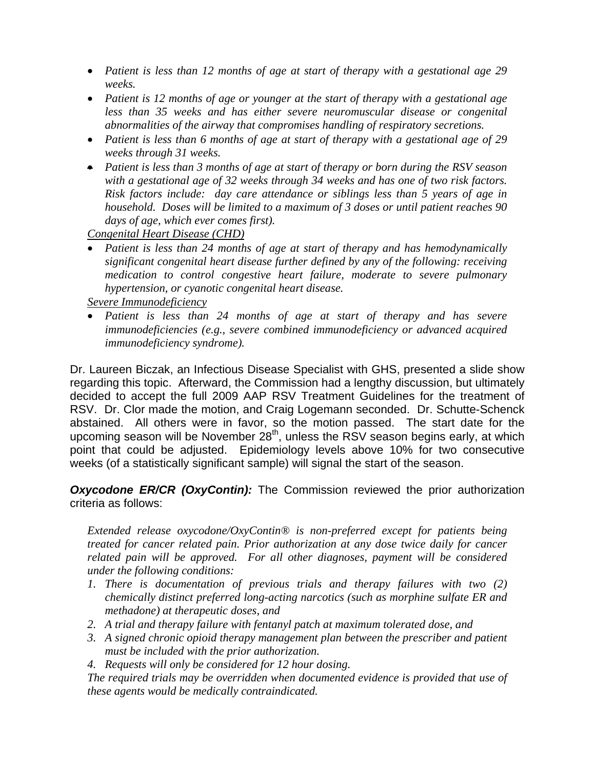- *Patient is less than 12 months of age at start of therapy with a gestational age 29 weeks.*
- *Patient is 12 months of age or younger at the start of therapy with a gestational age less than 35 weeks and has either severe neuromuscular disease or congenital abnormalities of the airway that compromises handling of respiratory secretions.*
- *Patient is less than 6 months of age at start of therapy with a gestational age of 29 weeks through 31 weeks.*
- *Patient is less than 3 months of age at start of therapy or born during the RSV season with a gestational age of 32 weeks through 34 weeks and has one of two risk factors. Risk factors include: day care attendance or siblings less than 5 years of age in household. Doses will be limited to a maximum of 3 doses or until patient reaches 90 days of age, which ever comes first).*

*Congenital Heart Disease (CHD)*

 *Patient is less than 24 months of age at start of therapy and has hemodynamically significant congenital heart disease further defined by any of the following: receiving medication to control congestive heart failure, moderate to severe pulmonary hypertension, or cyanotic congenital heart disease.* 

*Severe Immunodeficiency*

 *Patient is less than 24 months of age at start of therapy and has severe immunodeficiencies (e.g., severe combined immunodeficiency or advanced acquired immunodeficiency syndrome).* 

Dr. Laureen Biczak, an Infectious Disease Specialist with GHS, presented a slide show regarding this topic. Afterward, the Commission had a lengthy discussion, but ultimately decided to accept the full 2009 AAP RSV Treatment Guidelines for the treatment of RSV. Dr. Clor made the motion, and Craig Logemann seconded. Dr. Schutte-Schenck abstained. All others were in favor, so the motion passed. The start date for the upcoming season will be November  $28<sup>th</sup>$ , unless the RSV season begins early, at which point that could be adjusted. Epidemiology levels above 10% for two consecutive weeks (of a statistically significant sample) will signal the start of the season.

**Oxycodone ER/CR (OxyContin):** The Commission reviewed the prior authorization criteria as follows:

*Extended release oxycodone/OxyContin® is non-preferred except for patients being treated for cancer related pain. Prior authorization at any dose twice daily for cancer related pain will be approved. For all other diagnoses, payment will be considered under the following conditions:* 

- *1. There is documentation of previous trials and therapy failures with two (2) chemically distinct preferred long-acting narcotics (such as morphine sulfate ER and methadone) at therapeutic doses, and*
- *2. A trial and therapy failure with fentanyl patch at maximum tolerated dose, and*
- *3. A signed chronic opioid therapy management plan between the prescriber and patient must be included with the prior authorization.*
- *4. Requests will only be considered for 12 hour dosing.*

*The required trials may be overridden when documented evidence is provided that use of these agents would be medically contraindicated.*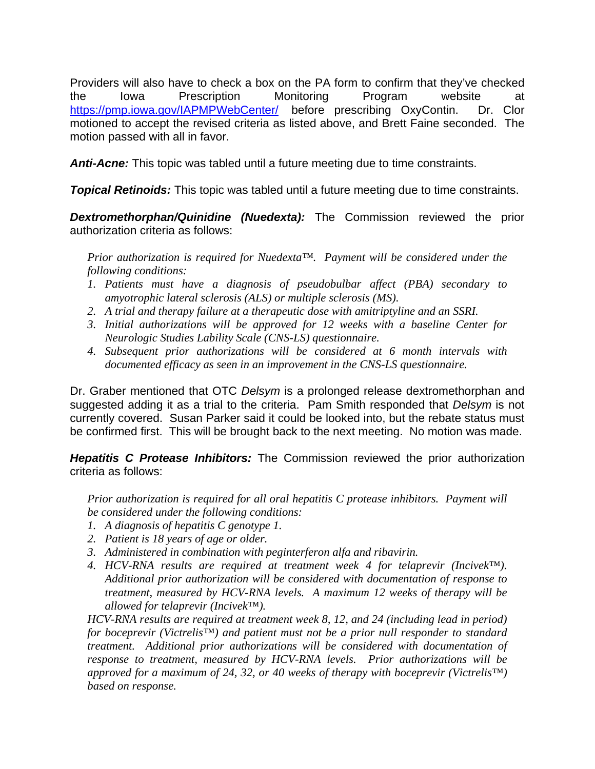Providers will also have to check a box on the PA form to confirm that they've checked the Iowa Prescription Monitoring Program website at https://pmp.iowa.gov/IAPMPWebCenter/ before prescribing OxyContin. Dr. Clor motioned to accept the revised criteria as listed above, and Brett Faine seconded. The motion passed with all in favor.

*Anti-Acne:* This topic was tabled until a future meeting due to time constraints.

*Topical Retinoids:* This topic was tabled until a future meeting due to time constraints.

**Dextromethorphan/Quinidine (Nuedexta):** The Commission reviewed the prior authorization criteria as follows:

*Prior authorization is required for Nuedexta™. Payment will be considered under the following conditions:* 

- *1. Patients must have a diagnosis of pseudobulbar affect (PBA) secondary to amyotrophic lateral sclerosis (ALS) or multiple sclerosis (MS).*
- *2. A trial and therapy failure at a therapeutic dose with amitriptyline and an SSRI.*
- *3. Initial authorizations will be approved for 12 weeks with a baseline Center for Neurologic Studies Lability Scale (CNS-LS) questionnaire.*
- *4. Subsequent prior authorizations will be considered at 6 month intervals with documented efficacy as seen in an improvement in the CNS-LS questionnaire.*

Dr. Graber mentioned that OTC *Delsym* is a prolonged release dextromethorphan and suggested adding it as a trial to the criteria. Pam Smith responded that *Delsym* is not currently covered. Susan Parker said it could be looked into, but the rebate status must be confirmed first. This will be brought back to the next meeting. No motion was made.

*Hepatitis C Protease Inhibitors:* The Commission reviewed the prior authorization criteria as follows:

*Prior authorization is required for all oral hepatitis C protease inhibitors. Payment will be considered under the following conditions:* 

- *1. A diagnosis of hepatitis C genotype 1.*
- *2. Patient is 18 years of age or older.*
- *3. Administered in combination with peginterferon alfa and ribavirin.*
- *4. HCV-RNA results are required at treatment week 4 for telaprevir (Incivek™). Additional prior authorization will be considered with documentation of response to treatment, measured by HCV-RNA levels. A maximum 12 weeks of therapy will be allowed for telaprevir (Incivek™).*

*HCV-RNA results are required at treatment week 8, 12, and 24 (including lead in period) for boceprevir (Victrelis™) and patient must not be a prior null responder to standard treatment. Additional prior authorizations will be considered with documentation of response to treatment, measured by HCV-RNA levels. Prior authorizations will be approved for a maximum of 24, 32, or 40 weeks of therapy with boceprevir (Victrelis™) based on response.*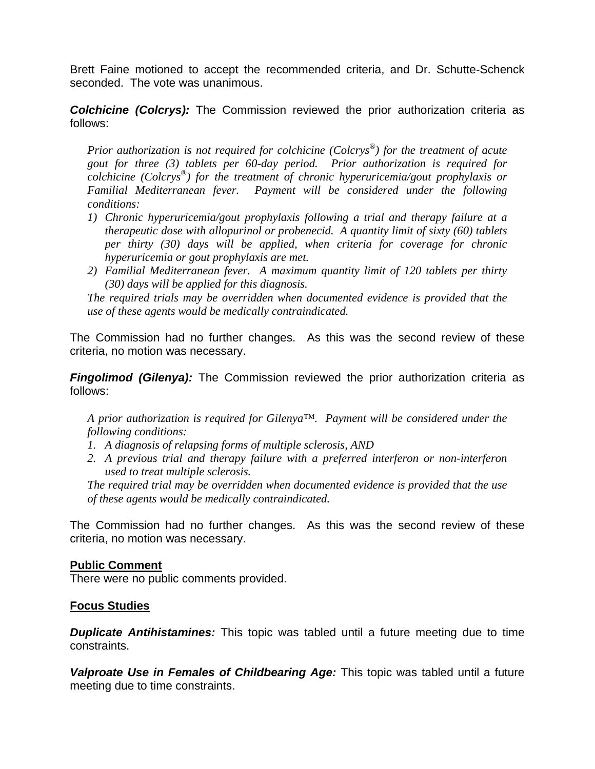Brett Faine motioned to accept the recommended criteria, and Dr. Schutte-Schenck seconded. The vote was unanimous.

**Colchicine (Colcrys):** The Commission reviewed the prior authorization criteria as follows:

*Prior authorization is not required for colchicine (Colcrys®) for the treatment of acute gout for three (3) tablets per 60-day period. Prior authorization is required for colchicine (Colcrys®) for the treatment of chronic hyperuricemia/gout prophylaxis or Familial Mediterranean fever. Payment will be considered under the following conditions:* 

- *1) Chronic hyperuricemia/gout prophylaxis following a trial and therapy failure at a therapeutic dose with allopurinol or probenecid. A quantity limit of sixty (60) tablets per thirty (30) days will be applied, when criteria for coverage for chronic hyperuricemia or gout prophylaxis are met.*
- *2) Familial Mediterranean fever. A maximum quantity limit of 120 tablets per thirty (30) days will be applied for this diagnosis.*

*The required trials may be overridden when documented evidence is provided that the use of these agents would be medically contraindicated.* 

The Commission had no further changes. As this was the second review of these criteria, no motion was necessary.

*Fingolimod (Gilenya):* The Commission reviewed the prior authorization criteria as follows:

*A prior authorization is required for Gilenya™. Payment will be considered under the following conditions:* 

- *1. A diagnosis of relapsing forms of multiple sclerosis, AND*
- *2. A previous trial and therapy failure with a preferred interferon or non-interferon used to treat multiple sclerosis.*

*The required trial may be overridden when documented evidence is provided that the use of these agents would be medically contraindicated.* 

The Commission had no further changes. As this was the second review of these criteria, no motion was necessary.

#### **Public Comment**

There were no public comments provided.

# **Focus Studies**

*Duplicate Antihistamines:* This topic was tabled until a future meeting due to time constraints.

*Valproate Use in Females of Childbearing Age:* This topic was tabled until a future meeting due to time constraints.